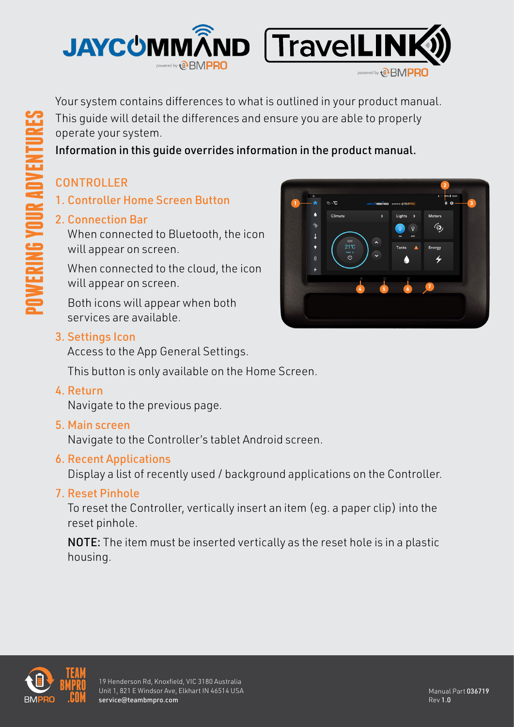

Information in this guide overrides information in the product manual.

## CONTROLLER

**POWERING YOUR ADVENTURES**

**FRING YOUR ADVENT** 

- 1. Controller Home Screen Button
- 2. Connection Bar

When connected to Bluetooth, the icon will appear on screen.

When connected to the cloud, the icon will appear on screen.

Both icons will appear when both services are available.

### 3. Settings Icon

Access to the App General Settings.

This button is only available on the Home Screen.

4. Return

Navigate to the previous page.

#### 5. Main screen

Navigate to the Controller's tablet Android screen.

#### 6. Recent Applications

Display a list of recently used / background applications on the Controller.

## 7. Reset Pinhole

To reset the Controller, vertically insert an item (eg. a paper clip) into the reset pinhole.

NOTE: The item must be inserted vertically as the reset hole is in a plastic housing.